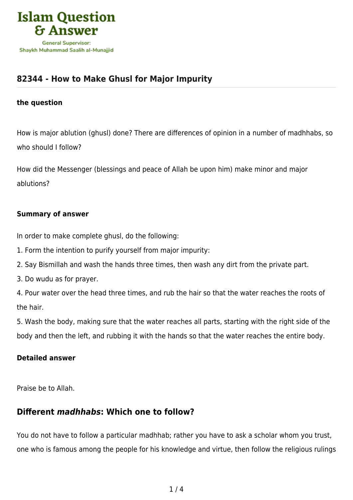

# **[82344 - How to Make Ghusl for Major Impurity](https://islamqa.com/en/answers/82344/how-to-make-ghusl-for-major-impurity)**

#### **the question**

How is major ablution (ghusl) done? There are differences of opinion in a number of madhhabs, so who should I follow?

How did the Messenger (blessings and peace of Allah be upon him) make minor and major ablutions?

#### **Summary of answer**

In order to make complete ghusl, do the following:

- 1. Form the intention to purify yourself from major impurity:
- 2. Say Bismillah and wash the hands three times, then wash any dirt from the private part.
- 3. Do wudu as for prayer.

4. Pour water over the head three times, and rub the hair so that the water reaches the roots of the hair.

5. Wash the body, making sure that the water reaches all parts, starting with the right side of the body and then the left, and rubbing it with the hands so that the water reaches the entire body.

#### **Detailed answer**

Praise be to Allah.

### **Different** *madhhabs***: Which one to follow?**

You do not have to follow a particular madhhab; rather you have to ask a scholar whom you trust, one who is famous among the people for his knowledge and virtue, then follow the religious rulings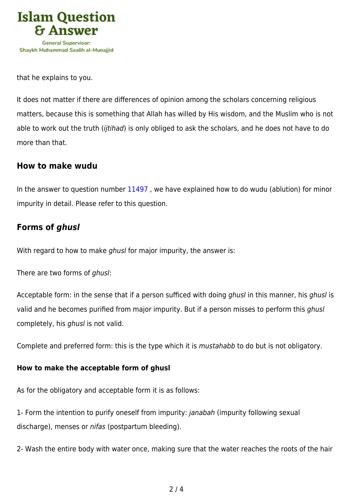

that he explains to you.

It does not matter if there are differences of opinion among the scholars concerning religious matters, because this is something that Allah has willed by His wisdom, and the Muslim who is not able to work out the truth (ijtihad) is only obliged to ask the scholars, and he does not have to do more than that.

### **How to make wudu**

In the answer to question number [11497](https://islamqa.com/en/answers/11497) , we have explained how to do wudu (ablution) for minor impurity in detail. Please refer to this question.

## **Forms of** *ghusl*

With regard to how to make *ghusl* for major impurity, the answer is:

There are two forms of ghusl:

Acceptable form: in the sense that if a person sufficed with doing ghusl in this manner, his ghusl is valid and he becomes purified from major impurity. But if a person misses to perform this *ghusl* completely, his ghusl is not valid.

Complete and preferred form: this is the type which it is mustahabb to do but is not obligatory.

### **How to make the acceptable form of ghusl**

As for the obligatory and acceptable form it is as follows:

1- Form the intention to purify oneself from impurity: janabah (impurity following sexual discharge), menses or nifas (postpartum bleeding).

2- Wash the entire body with water once, making sure that the water reaches the roots of the hair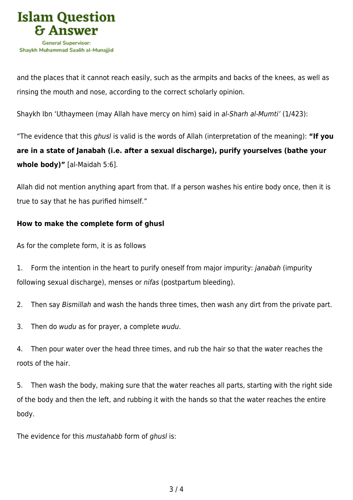

and the places that it cannot reach easily, such as the armpits and backs of the knees, as well as rinsing the mouth and nose, according to the correct scholarly opinion.

Shaykh Ibn 'Uthaymeen (may Allah have mercy on him) said in al-Sharh al-Mumti' (1/423):

"The evidence that this ghusl is valid is the words of Allah (interpretation of the meaning): **"If you are in a state of Janabah (i.e. after a sexual discharge), purify yourselves (bathe your whole body)"** [al-Maidah 5:6].

Allah did not mention anything apart from that. If a person washes his entire body once, then it is true to say that he has purified himself."

### **How to make the complete form of ghusl**

As for the complete form, it is as follows

1. Form the intention in the heart to purify oneself from major impurity: *janabah* (impurity following sexual discharge), menses or nifas (postpartum bleeding).

2. Then say Bismillah and wash the hands three times, then wash any dirt from the private part.

3. Then do wudu as for prayer, a complete wudu.

4. Then pour water over the head three times, and rub the hair so that the water reaches the roots of the hair.

5. Then wash the body, making sure that the water reaches all parts, starting with the right side of the body and then the left, and rubbing it with the hands so that the water reaches the entire body.

The evidence for this mustahabb form of ghusl is: